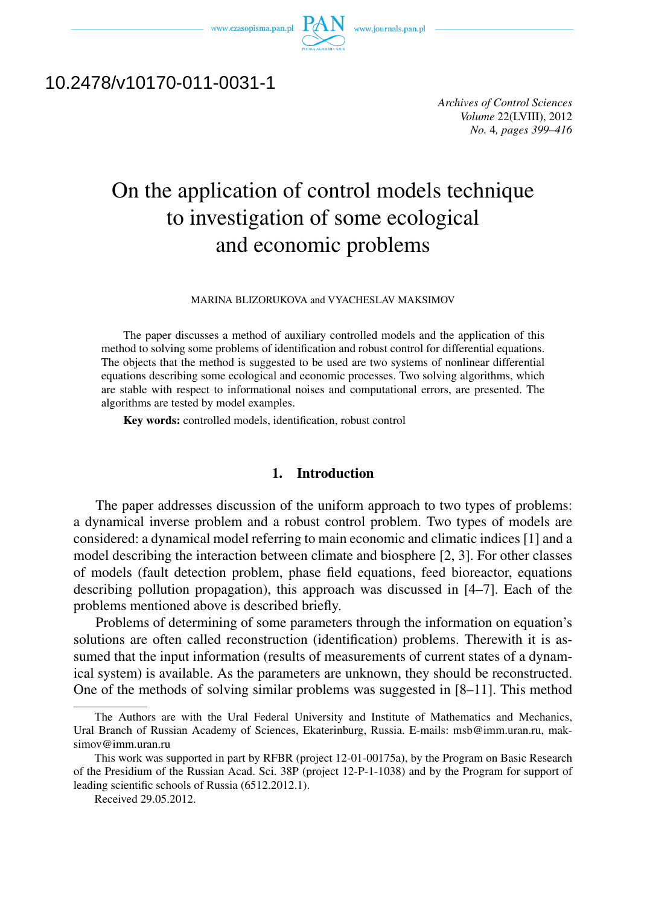



# 10.2478/v10170-011-0031-1

*Archives of Control Sciences Volume* 22(LVIII), 2012 *No.* 4*, pages 399–416*

# On the application of control models technique to investigation of some ecological and economic problems

#### MARINA BLIZORUKOVA and VYACHESLAV MAKSIMOV

The paper discusses a method of auxiliary controlled models and the application of this method to solving some problems of identification and robust control for differential equations. The objects that the method is suggested to be used are two systems of nonlinear differential equations describing some ecological and economic processes. Two solving algorithms, which are stable with respect to informational noises and computational errors, are presented. The algorithms are tested by model examples.

Key words: controlled models, identification, robust control

# 1. Introduction

The paper addresses discussion of the uniform approach to two types of problems: a dynamical inverse problem and a robust control problem. Two types of models are considered: a dynamical model referring to main economic and climatic indices [1] and a model describing the interaction between climate and biosphere [2, 3]. For other classes of models (fault detection problem, phase field equations, feed bioreactor, equations describing pollution propagation), this approach was discussed in [4–7]. Each of the problems mentioned above is described briefly.

Problems of determining of some parameters through the information on equation's solutions are often called reconstruction (identification) problems. Therewith it is assumed that the input information (results of measurements of current states of a dynamical system) is available. As the parameters are unknown, they should be reconstructed. One of the methods of solving similar problems was suggested in [8–11]. This method

The Authors are with the Ural Federal University and Institute of Mathematics and Mechanics, Ural Branch of Russian Academy of Sciences, Ekaterinburg, Russia. E-mails: msb@imm.uran.ru, maksimov@imm.uran.ru

This work was supported in part by RFBR (project 12-01-00175a), by the Program on Basic Research of the Presidium of the Russian Acad. Sci. 38P (project 12-P-1-1038) and by the Program for support of leading scientific schools of Russia (6512.2012.1).

Received 29.05.2012.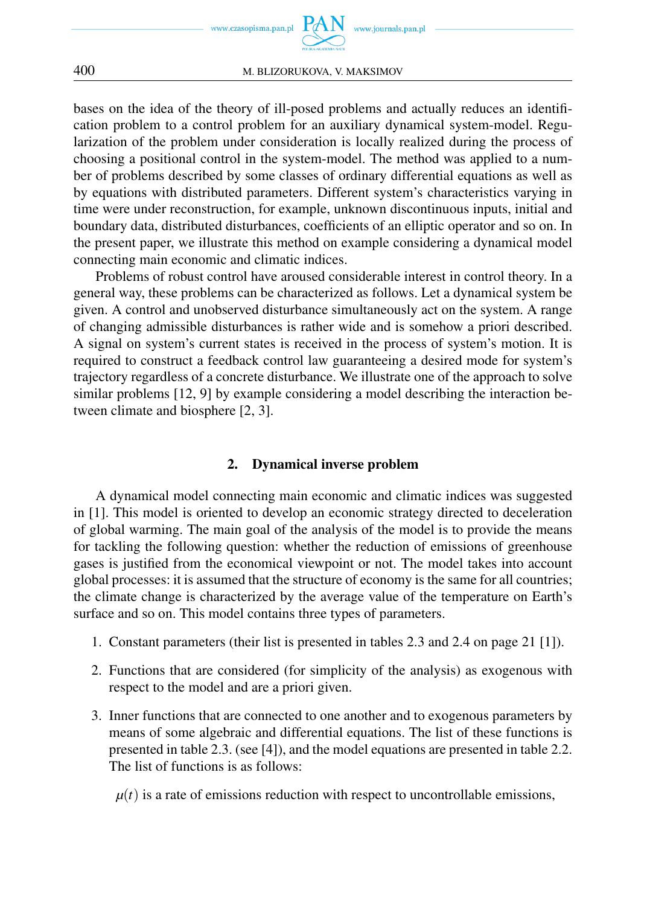

bases on the idea of the theory of ill-posed problems and actually reduces an identification problem to a control problem for an auxiliary dynamical system-model. Regularization of the problem under consideration is locally realized during the process of choosing a positional control in the system-model. The method was applied to a number of problems described by some classes of ordinary differential equations as well as by equations with distributed parameters. Different system's characteristics varying in time were under reconstruction, for example, unknown discontinuous inputs, initial and boundary data, distributed disturbances, coefficients of an elliptic operator and so on. In the present paper, we illustrate this method on example considering a dynamical model connecting main economic and climatic indices.

Problems of robust control have aroused considerable interest in control theory. In a general way, these problems can be characterized as follows. Let a dynamical system be given. A control and unobserved disturbance simultaneously act on the system. A range of changing admissible disturbances is rather wide and is somehow a priori described. A signal on system's current states is received in the process of system's motion. It is required to construct a feedback control law guaranteeing a desired mode for system's trajectory regardless of a concrete disturbance. We illustrate one of the approach to solve similar problems [12, 9] by example considering a model describing the interaction between climate and biosphere [2, 3].

# 2. Dynamical inverse problem

A dynamical model connecting main economic and climatic indices was suggested in [1]. This model is oriented to develop an economic strategy directed to deceleration of global warming. The main goal of the analysis of the model is to provide the means for tackling the following question: whether the reduction of emissions of greenhouse gases is justified from the economical viewpoint or not. The model takes into account global processes: it is assumed that the structure of economy is the same for all countries; the climate change is characterized by the average value of the temperature on Earth's surface and so on. This model contains three types of parameters.

- 1. Constant parameters (their list is presented in tables 2.3 and 2.4 on page 21 [1]).
- 2. Functions that are considered (for simplicity of the analysis) as exogenous with respect to the model and are a priori given.
- 3. Inner functions that are connected to one another and to exogenous parameters by means of some algebraic and differential equations. The list of these functions is presented in table 2.3. (see [4]), and the model equations are presented in table 2.2. The list of functions is as follows:

 $\mu(t)$  is a rate of emissions reduction with respect to uncontrollable emissions,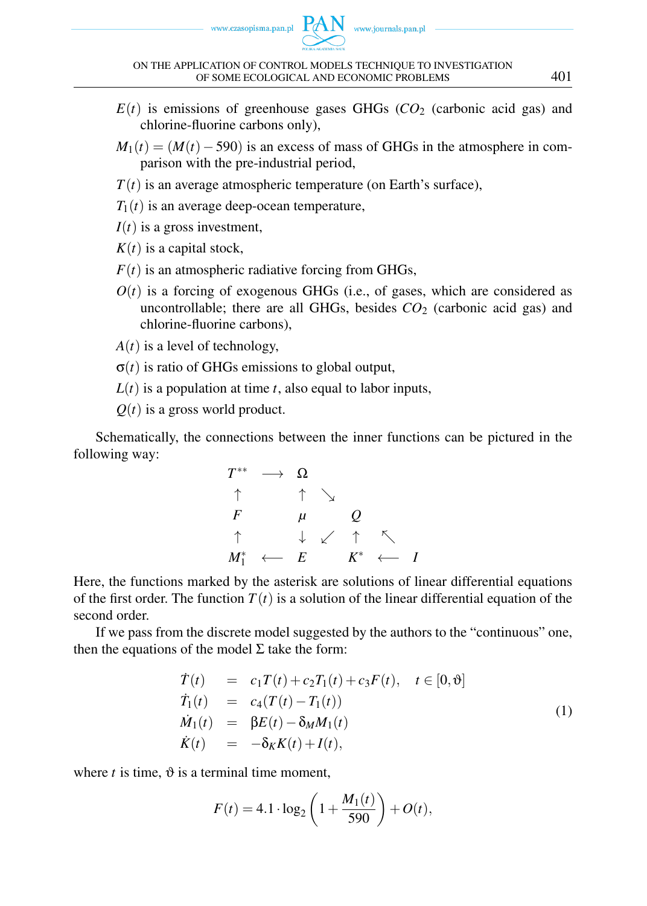

- $E(t)$  is emissions of greenhouse gases GHGs ( $CO<sub>2</sub>$  (carbonic acid gas) and chlorine-fluorine carbons only),
- $M_1(t) = (M(t) 590)$  is an excess of mass of GHGs in the atmosphere in comparison with the pre-industrial period,
- $T(t)$  is an average atmospheric temperature (on Earth's surface),
- $T_1(t)$  is an average deep-ocean temperature,
- $I(t)$  is a gross investment,
- $K(t)$  is a capital stock,
- $F(t)$  is an atmospheric radiative forcing from GHGs,
- $O(t)$  is a forcing of exogenous GHGs (i.e., of gases, which are considered as uncontrollable; there are all GHGs, besides  $CO<sub>2</sub>$  (carbonic acid gas) and chlorine-fluorine carbons),
- $A(t)$  is a level of technology,
- $\sigma(t)$  is ratio of GHGs emissions to global output,
- $L(t)$  is a population at time *t*, also equal to labor inputs,
- $Q(t)$  is a gross world product.

Schematically, the connections between the inner functions can be pictured in the following way:

$$
\begin{array}{ccccc}\nT^{**} & \longrightarrow & \Omega \\
\uparrow & & \uparrow & \searrow \\
F & & \mu & & Q \\
\uparrow & & \downarrow & \swarrow & \uparrow & \nwarrow \\
M_1^* & \longleftarrow & E & & K^* & \longleftarrow & I\n\end{array}
$$

Here, the functions marked by the asterisk are solutions of linear differential equations of the first order. The function  $T(t)$  is a solution of the linear differential equation of the second order.

If we pass from the discrete model suggested by the authors to the "continuous" one, then the equations of the model  $\Sigma$  take the form:

$$
\dot{T}(t) = c_1 T(t) + c_2 T_1(t) + c_3 F(t), \quad t \in [0, \vartheta]
$$
\n
$$
\dot{T}_1(t) = c_4 (T(t) - T_1(t))
$$
\n
$$
\dot{M}_1(t) = \beta E(t) - \delta_M M_1(t)
$$
\n
$$
\dot{K}(t) = -\delta_K K(t) + I(t),
$$
\n(1)

where  $t$  is time,  $\vartheta$  is a terminal time moment,

$$
F(t) = 4.1 \cdot \log_2\left(1 + \frac{M_1(t)}{590}\right) + O(t),
$$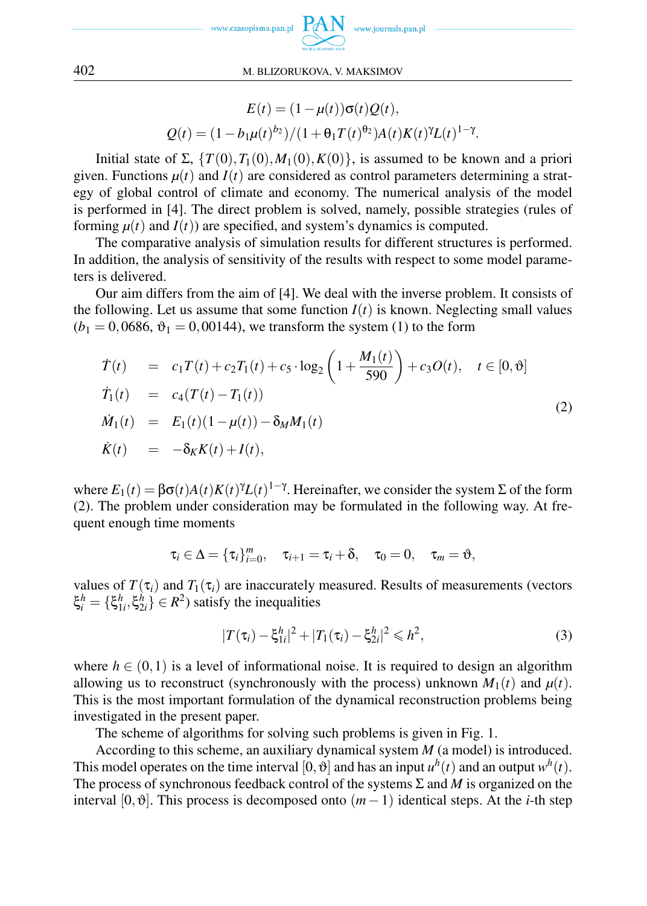

$$
E(t) = (1 - \mu(t))\sigma(t)Q(t),
$$
  
 
$$
Q(t) = (1 - b_1\mu(t)^{b_2})/(1 + \theta_1T(t)^{\theta_2})A(t)K(t)^{\gamma}L(t)^{1-\gamma}.
$$

Initial state of Σ,  $\{T(0), T_1(0), M_1(0), K(0)\}$ , is assumed to be known and a priori given. Functions  $\mu(t)$  and  $I(t)$  are considered as control parameters determining a strategy of global control of climate and economy. The numerical analysis of the model is performed in [4]. The direct problem is solved, namely, possible strategies (rules of forming  $\mu(t)$  and  $I(t)$ ) are specified, and system's dynamics is computed.

The comparative analysis of simulation results for different structures is performed. In addition, the analysis of sensitivity of the results with respect to some model parameters is delivered.

Our aim differs from the aim of [4]. We deal with the inverse problem. It consists of the following. Let us assume that some function  $I(t)$  is known. Neglecting small values  $(b_1 = 0,0686, \vartheta_1 = 0,00144)$ , we transform the system (1) to the form

$$
\dot{T}(t) = c_1 T(t) + c_2 T_1(t) + c_5 \cdot \log_2 \left( 1 + \frac{M_1(t)}{590} \right) + c_3 O(t), \quad t \in [0, \vartheta]
$$
\n
$$
\dot{T}_1(t) = c_4 (T(t) - T_1(t))
$$
\n
$$
\dot{M}_1(t) = E_1(t) (1 - \mu(t)) - \delta_M M_1(t)
$$
\n
$$
\dot{K}(t) = -\delta_K K(t) + I(t),
$$
\n(2)

where  $E_1(t) = \beta \sigma(t) A(t) K(t)^{\gamma} L(t)^{1-\gamma}$ . Hereinafter, we consider the system  $\Sigma$  of the form (2). The problem under consideration may be formulated in the following way. At frequent enough time moments

$$
\tau_i \in \Delta = {\tau_i}_{i=0}^m, \quad \tau_{i+1} = \tau_i + \delta, \quad \tau_0 = 0, \quad \tau_m = \vartheta,
$$

values of  $T(\tau_i)$  and  $T_1(\tau_i)$  are inaccurately measured. Results of measurements (vectors  $\xi_i^h = {\xi_{1i}^h, \xi_{2i}^h} \in R^2$  satisfy the inequalities

$$
|T(\tau_i) - \xi_{1i}^h|^2 + |T_1(\tau_i) - \xi_{2i}^h|^2 \leqslant h^2,
$$
\n(3)

where  $h \in (0,1)$  is a level of informational noise. It is required to design an algorithm allowing us to reconstruct (synchronously with the process) unknown  $M_1(t)$  and  $\mu(t)$ . This is the most important formulation of the dynamical reconstruction problems being investigated in the present paper.

The scheme of algorithms for solving such problems is given in Fig. 1.

According to this scheme, an auxiliary dynamical system *M* (a model) is introduced. This model operates on the time interval  $[0, \vartheta]$  and has an input  $u^h(t)$  and an output  $w^h(t)$ . The process of synchronous feedback control of the systems Σ and *M* is organized on the interval [0*,*ϑ]. This process is decomposed onto (*m−*1) identical steps. At the *i*-th step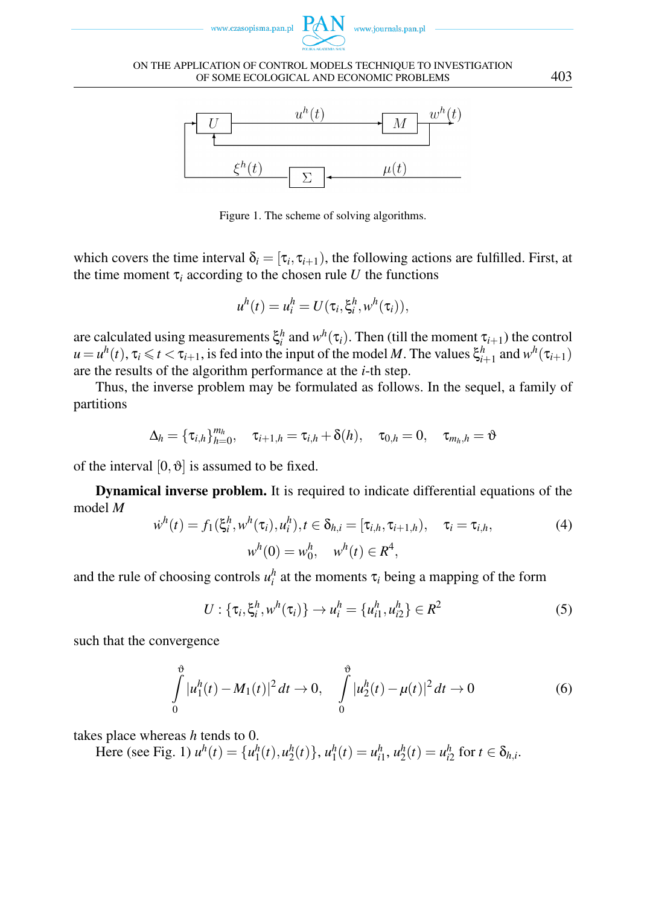





Figure 1. The scheme of solving algorithms.

which covers the time interval  $\delta_i = [\tau_i, \tau_{i+1})$ , the following actions are fulfilled. First, at the time moment  $\tau_i$  according to the chosen rule *U* the functions

$$
u^h(t) = u_i^h = U(\tau_i, \xi_i^h, w^h(\tau_i)),
$$

are calculated using measurements  $\xi_i^h$  and  $w^h(\tau_i)$ . Then (till the moment  $\tau_{i+1}$ ) the control  $u = u^h(t)$ ,  $\tau_i \le t < \tau_{i+1}$ , is fed into the input of the model *M*. The values  $\xi_{i+1}^h$  and  $w^h(\tau_{i+1})$ are the results of the algorithm performance at the *i*-th step.

Thus, the inverse problem may be formulated as follows. In the sequel, a family of partitions

$$
\Delta_h = \{\tau_{i,h}\}_{h=0}^{m_h}, \quad \tau_{i+1,h} = \tau_{i,h} + \delta(h), \quad \tau_{0,h} = 0, \quad \tau_{m_h,h} = \vartheta
$$

of the interval  $[0, \vartheta]$  is assumed to be fixed.

Dynamical inverse problem. It is required to indicate differential equations of the model *M*

$$
\dot{w}^{h}(t) = f_{1}(\xi_{i}^{h}, w^{h}(\tau_{i}), u_{i}^{h}), t \in \delta_{h,i} = [\tau_{i,h}, \tau_{i+1,h}), \quad \tau_{i} = \tau_{i,h},
$$
\n
$$
w^{h}(0) = w_{0}^{h}, \quad w^{h}(t) \in R^{4},
$$
\n(4)

and the rule of choosing controls  $u_i^h$  at the moments  $\tau_i$  being a mapping of the form

$$
U: \{\tau_i, \xi_i^h, w^h(\tau_i)\} \to u_i^h = \{u_{i1}^h, u_{i2}^h\} \in R^2
$$
 (5)

such that the convergence

$$
\int_{0}^{\vartheta} |u_1^h(t) - M_1(t)|^2 dt \to 0, \quad \int_{0}^{\vartheta} |u_2^h(t) - \mu(t)|^2 dt \to 0 \tag{6}
$$

takes place whereas *h* tends to 0.

Here (see Fig. 1)  $u^h(t) = \{u_1^h(t), u_2^h(t)\}\$ ,  $u_1^h(t) = u_{i1}^h$ ,  $u_2^h(t) = u_{i2}^h$  for  $t \in \delta_{h,i}$ .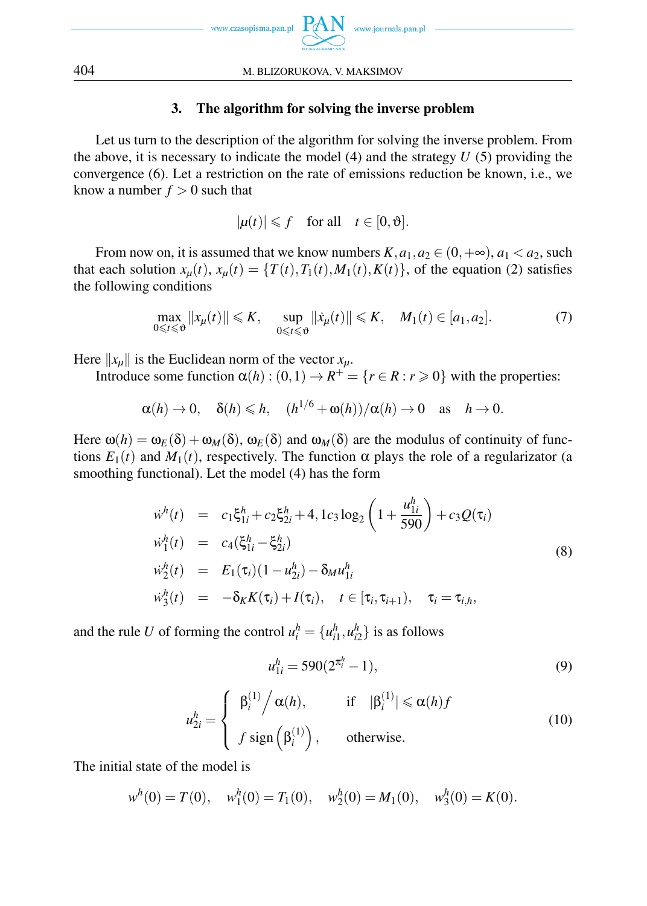

# 3. The algorithm for solving the inverse problem

Let us turn to the description of the algorithm for solving the inverse problem. From the above, it is necessary to indicate the model (4) and the strategy *U* (5) providing the convergence (6). Let a restriction on the rate of emissions reduction be known, i.e., we know a number  $f > 0$  such that

$$
|\mu(t)| \leq f \quad \text{for all} \quad t \in [0, \vartheta].
$$

From now on, it is assumed that we know numbers  $K$ ,  $a_1$ ,  $a_2 \in (0, +\infty)$ ,  $a_1 < a_2$ , such that each solution  $x_\mu(t)$ ,  $x_\mu(t) = \{T(t), T_1(t), M_1(t), K(t)\}$ , of the equation (2) satisfies the following conditions

$$
\max_{0\leq t\leq \vartheta}||x_{\mu}(t)||\leq K,\quad \sup_{0\leq t\leq \vartheta}||\dot{x}_{\mu}(t)||\leq K,\quad M_1(t)\in [a_1,a_2].\tag{7}
$$

Here  $||x_\mu||$  is the Euclidean norm of the vector  $x_\mu$ .

Introduce some function  $\alpha(h) : (0,1) \to R^+ = \{r \in R : r \ge 0\}$  with the properties:

 $\alpha(h) \to 0$ ,  $\delta(h) \leq h$ ,  $(h^{1/6} + \omega(h))/\alpha(h) \to 0$  as  $h \to 0$ .

Here  $\omega(h) = \omega_E(\delta) + \omega_M(\delta)$ ,  $\omega_E(\delta)$  and  $\omega_M(\delta)$  are the modulus of continuity of functions  $E_1(t)$  and  $M_1(t)$ , respectively. The function  $\alpha$  plays the role of a regularizator (a smoothing functional). Let the model (4) has the form

$$
\dot{w}^{h}(t) = c_{1}\xi_{1i}^{h} + c_{2}\xi_{2i}^{h} + 4, 1c_{3}\log_{2}\left(1 + \frac{u_{1i}^{h}}{590}\right) + c_{3}Q(\tau_{i})
$$
\n
$$
\dot{w}_{1}^{h}(t) = c_{4}(\xi_{1i}^{h} - \xi_{2i}^{h})
$$
\n
$$
\dot{w}_{2}^{h}(t) = E_{1}(\tau_{i})(1 - u_{2i}^{h}) - \delta_{M}u_{1i}^{h}
$$
\n
$$
\dot{w}_{3}^{h}(t) = -\delta_{K}K(\tau_{i}) + I(\tau_{i}), \quad t \in [\tau_{i}, \tau_{i+1}), \quad \tau_{i} = \tau_{i,h},
$$
\n(8)

and the rule *U* of forming the control  $u_i^h = \{u_{i1}^h, u_{i2}^h\}$  is as follows

$$
u_{1i}^h = 590(2^{\pi_i^h} - 1),\tag{9}
$$

$$
u_{2i}^{h} = \begin{cases} \beta_{i}^{(1)} / \alpha(h), & \text{if } |\beta_{i}^{(1)}| \leq \alpha(h)f \\ f \text{ sign} \left(\beta_{i}^{(1)}\right), & \text{otherwise.} \end{cases}
$$
(10)

The initial state of the model is

 $w^h(0) = T(0)$ ,  $w_1^h(0) = T_1(0)$ ,  $w_2^h(0) = M_1(0)$ ,  $w_3^h(0) = K(0)$ .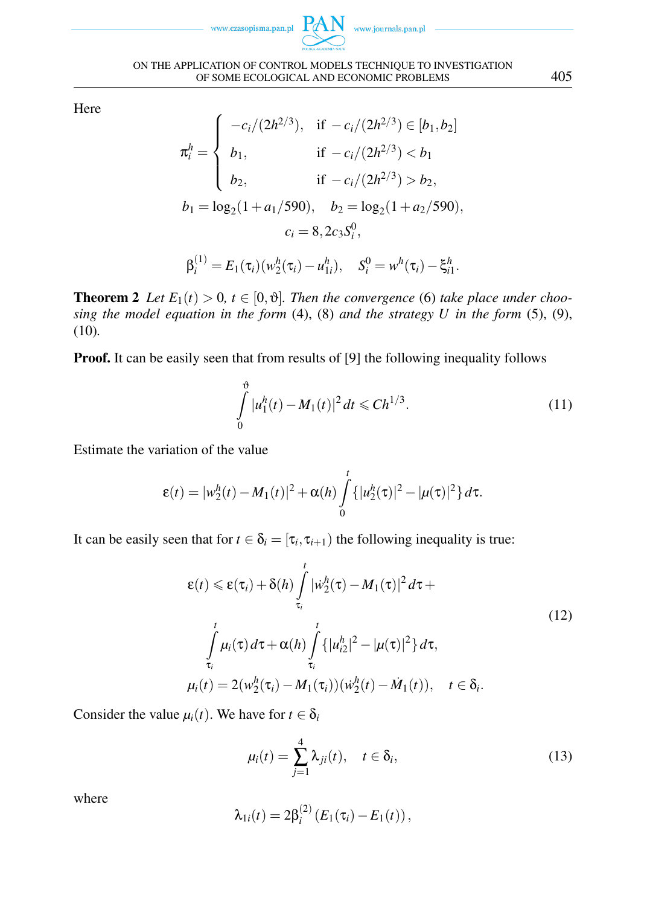

Here

$$
\pi_i^h = \begin{cases}\n-c_i/(2h^{2/3}), & \text{if } -c_i/(2h^{2/3}) \in [b_1, b_2] \\
b_1, & \text{if } -c_i/(2h^{2/3}) < b_1 \\
b_2, & \text{if } -c_i/(2h^{2/3}) > b_2, \\
b_1 = \log_2(1 + a_1/590), & b_2 = \log_2(1 + a_2/590), \\
c_i = 8, 2c_3 S_i^0, & \\
\beta_i^{(1)} = E_1(\tau_i)(w_2^h(\tau_i) - u_{1i}^h), & S_i^0 = w^h(\tau_i) - \xi_{i1}^h.\n\end{cases}
$$

**Theorem 2** Let  $E_1(t) > 0$ ,  $t \in [0, \vartheta]$ . Then the convergence (6) take place under choo*sing the model equation in the form* (4), (8) *and the strategy U in the form* (5), (9), (10)*.*

**Proof.** It can be easily seen that from results of [9] the following inequality follows

$$
\int_{0}^{\vartheta} |u_1^h(t) - M_1(t)|^2 dt \leq C h^{1/3}.
$$
\n(11)

Estimate the variation of the value

$$
\varepsilon(t) = |w_2^h(t) - M_1(t)|^2 + \alpha(h) \int_0^t \{|u_2^h(\tau)|^2 - |\mu(\tau)|^2\} d\tau.
$$

It can be easily seen that for  $t \in \delta_i = [\tau_i, \tau_{i+1})$  the following inequality is true:

$$
\varepsilon(t) \leq \varepsilon(\tau_i) + \delta(h) \int_{\tau_i}^t |\dot{w}_2^h(\tau) - M_1(\tau)|^2 d\tau +
$$
  

$$
\int_{\tau_i}^t \mu_i(\tau) d\tau + \alpha(h) \int_{\tau_i}^t \{ |u_{i2}^h|^2 - |\mu(\tau)|^2 \} d\tau,
$$
  

$$
\mu_i(t) = 2(w_2^h(\tau_i) - M_1(\tau_i))(\dot{w}_2^h(t) - M_1(t)), \quad t \in \delta_i.
$$
 (12)

Consider the value  $\mu_i(t)$ . We have for  $t \in \delta_i$ 

$$
\mu_i(t) = \sum_{j=1}^4 \lambda_{ji}(t), \quad t \in \delta_i,
$$
\n(13)

where

$$
\lambda_{1i}(t)=2\beta_i^{(2)}\left(E_1(\tau_i)-E_1(t)\right),\,
$$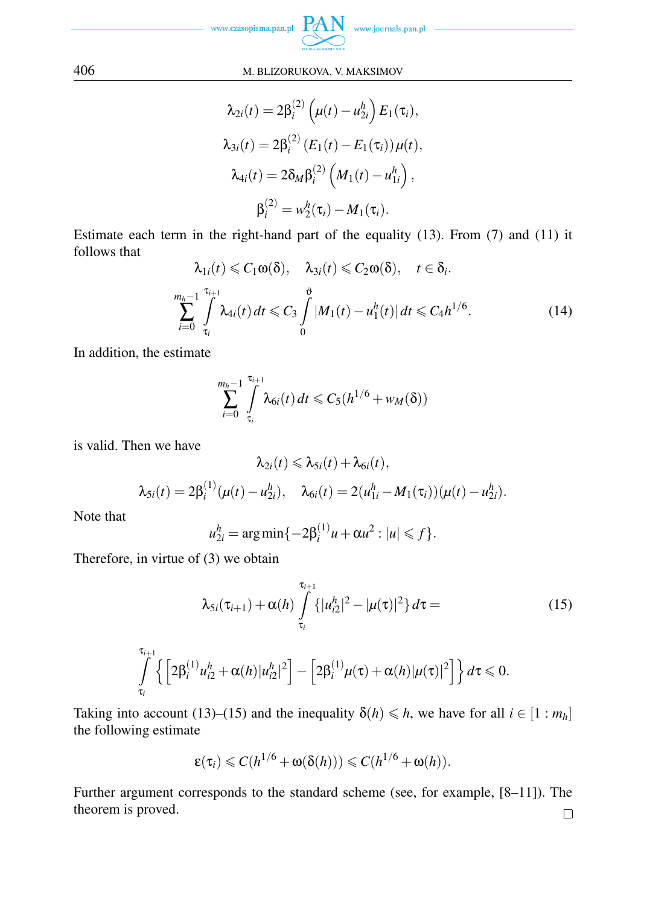

$$
\lambda_{2i}(t) = 2\beta_i^{(2)} \left( \mu(t) - u_{2i}^h \right) E_1(\tau_i),
$$
  
\n
$$
\lambda_{3i}(t) = 2\beta_i^{(2)} \left( E_1(t) - E_1(\tau_i) \right) \mu(t),
$$
  
\n
$$
\lambda_{4i}(t) = 2\delta_M \beta_i^{(2)} \left( M_1(t) - u_{1i}^h \right),
$$
  
\n
$$
\beta_i^{(2)} = w_2^h(\tau_i) - M_1(\tau_i).
$$

Estimate each term in the right-hand part of the equality (13). From (7) and (11) it follows that

$$
\lambda_{1i}(t) \leq C_1 \omega(\delta), \quad \lambda_{3i}(t) \leq C_2 \omega(\delta), \quad t \in \delta_i.
$$
\n
$$
\sum_{i=0}^{m_h-1} \int_{\tau_i}^{\tau_{i+1}} \lambda_{4i}(t) dt \leq C_3 \int_0^{\delta} |M_1(t) - u_1^h(t)| dt \leq C_4 h^{1/6}.
$$
\n(14)

In addition, the estimate

$$
\sum_{i=0}^{m_h-1} \int\limits_{\tau_i}^{\tau_{i+1}} \lambda_{6i}(t) dt \leqslant C_5(h^{1/6} + w_M(\delta))
$$

is valid. Then we have

$$
\lambda_{2i}(t) \leqslant \lambda_{5i}(t) + \lambda_{6i}(t),
$$
\n
$$
\lambda_{5i}(t) = 2\beta_i^{(1)}(\mu(t) - u_{2i}^h), \quad \lambda_{6i}(t) = 2(u_{1i}^h - M_1(\tau_i))(\mu(t) - u_{2i}^h).
$$

Note that

$$
u_{2i}^h = \arg\min\{-2\beta_i^{(1)}u + \alpha u^2 : |u| \leq f\}.
$$

Therefore, in virtue of (3) we obtain

$$
\lambda_{5i}(\tau_{i+1}) + \alpha(h) \int_{\tau_i}^{\tau_{i+1}} \{ |u_{i2}^h|^2 - |\mu(\tau)|^2 \} d\tau = \tag{15}
$$

$$
\int_{\tau_i}^{\tau_{i+1}} \left\{ \left[ 2\beta_i^{(1)} u_{i2}^h + \alpha(h) |u_{i2}^h|^2 \right] - \left[ 2\beta_i^{(1)} \mu(\tau) + \alpha(h) |\mu(\tau)|^2 \right] \right\} d\tau \leq 0.
$$

Taking into account (13)–(15) and the inequality  $\delta(h) \leq h$ , we have for all  $i \in [1 : m_h]$ the following estimate

$$
\varepsilon(\tau_i) \leqslant C(h^{1/6} + \omega(\delta(h))) \leqslant C(h^{1/6} + \omega(h)).
$$

Further argument corresponds to the standard scheme (see, for example, [8–11]). The theorem is proved. $\Box$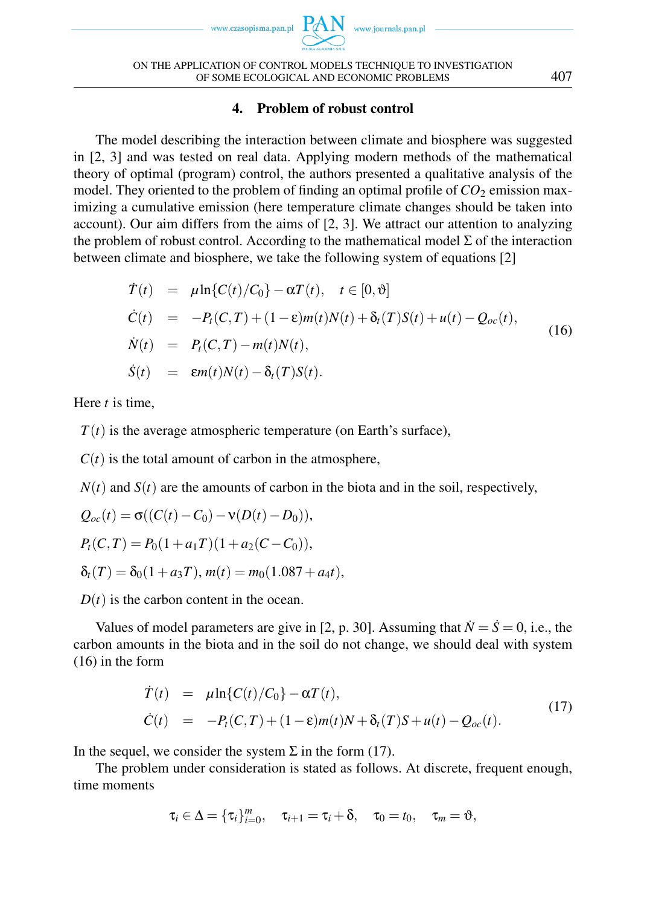www.czasopisma.pan.pl



# 4. Problem of robust control

The model describing the interaction between climate and biosphere was suggested in [2, 3] and was tested on real data. Applying modern methods of the mathematical theory of optimal (program) control, the authors presented a qualitative analysis of the model. They oriented to the problem of finding an optimal profile of  $CO_2$  emission maximizing a cumulative emission (here temperature climate changes should be taken into account). Our aim differs from the aims of [2, 3]. We attract our attention to analyzing the problem of robust control. According to the mathematical model  $\Sigma$  of the interaction between climate and biosphere, we take the following system of equations [2]

$$
\dot{T}(t) = \mu \ln \{ C(t) / C_0 \} - \alpha T(t), \quad t \in [0, \vartheta]
$$
\n
$$
\dot{C}(t) = -P_t(C, T) + (1 - \varepsilon) m(t) N(t) + \delta_t(T) S(t) + u(t) - Q_{oc}(t),
$$
\n
$$
\dot{N}(t) = P_t(C, T) - m(t) N(t),
$$
\n
$$
\dot{S}(t) = \varepsilon m(t) N(t) - \delta_t(T) S(t).
$$
\n(16)

Here *t* is time,

 $T(t)$  is the average atmospheric temperature (on Earth's surface),

 $C(t)$  is the total amount of carbon in the atmosphere,

 $N(t)$  and  $S(t)$  are the amounts of carbon in the biota and in the soil, respectively,

$$
Q_{oc}(t) = \sigma((C(t) - C_0) - v(D(t) - D_0)),
$$
  
\n
$$
P_t(C,T) = P_0(1 + a_1T)(1 + a_2(C - C_0)),
$$
  
\n
$$
\delta_t(T) = \delta_0(1 + a_3T), m(t) = m_0(1.087 + a_4t),
$$

 $D(t)$  is the carbon content in the ocean.

Values of model parameters are give in [2, p. 30]. Assuming that  $\dot{N} = \dot{S} = 0$ , i.e., the carbon amounts in the biota and in the soil do not change, we should deal with system (16) in the form

$$
\dot{T}(t) = \mu \ln \{ C(t) / C_0 \} - \alpha T(t), \n\dot{C}(t) = -P_t(C, T) + (1 - \varepsilon) m(t) N + \delta_t(T) S + u(t) - Q_{oc}(t).
$$
\n(17)

In the sequel, we consider the system  $\Sigma$  in the form (17).

The problem under consideration is stated as follows. At discrete, frequent enough, time moments

$$
\tau_i \in \Delta = {\tau_i}_{i=0}^m, \quad \tau_{i+1} = \tau_i + \delta, \quad \tau_0 = t_0, \quad \tau_m = \vartheta,
$$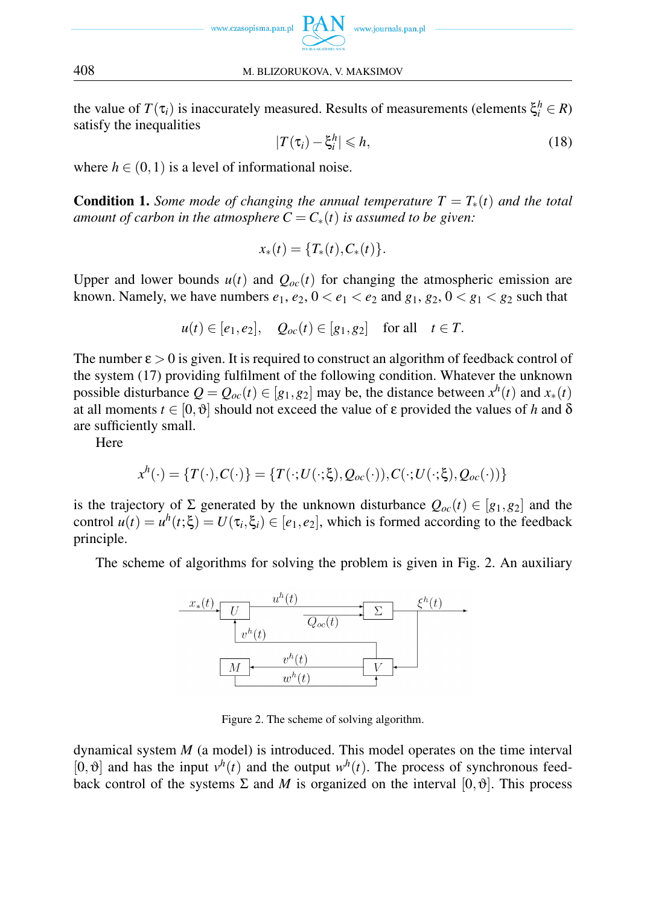

the value of  $T(\tau_i)$  is inaccurately measured. Results of measurements (elements  $\xi_i^h \in R$ ) satisfy the inequalities

$$
|T(\tau_i) - \xi_i^h| \leqslant h,\tag{18}
$$

where  $h \in (0,1)$  is a level of informational noise.

**Condition 1.** *Some mode of changing the annual temperature*  $T = T_*(t)$  *and the total amount of carbon in the atmosphere*  $C = C_*(t)$  *is assumed to be given:* 

$$
x_*(t) = \{T_*(t), C_*(t)\}.
$$

Upper and lower bounds  $u(t)$  and  $Q_{oc}(t)$  for changing the atmospheric emission are known. Namely, we have numbers  $e_1, e_2, 0 < e_1 < e_2$  and  $g_1, g_2, 0 < g_1 < g_2$  such that

$$
u(t) \in [e_1, e_2], \quad Q_{oc}(t) \in [g_1, g_2] \quad \text{for all} \quad t \in T.
$$

The number ε *>* 0 is given. It is required to construct an algorithm of feedback control of the system (17) providing fulfilment of the following condition. Whatever the unknown possible disturbance  $Q = Q_{oc}(t) \in [g_1, g_2]$  may be, the distance between  $x^h(t)$  and  $x_*(t)$ at all moments  $t \in [0, \vartheta]$  should not exceed the value of  $\varepsilon$  provided the values of *h* and  $\delta$ are sufficiently small.

Here

$$
x^h(\cdot) = \{T(\cdot), C(\cdot)\} = \{T(\cdot; U(\cdot;\xi), Q_{oc}(\cdot)), C(\cdot; U(\cdot;\xi), Q_{oc}(\cdot))\}
$$

is the trajectory of  $\Sigma$  generated by the unknown disturbance  $Q_{oc}(t) \in [g_1, g_2]$  and the control  $u(t) = u^h(t;\xi) = U(\tau_i,\xi_i) \in [e_1,e_2]$ , which is formed according to the feedback principle.

The scheme of algorithms for solving the problem is given in Fig. 2. An auxiliary



Figure 2. The scheme of solving algorithm.

dynamical system *M* (a model) is introduced. This model operates on the time interval [0,  $\vartheta$ ] and has the input  $v^h(t)$  and the output  $w^h(t)$ . The process of synchronous feedback control of the systems  $\Sigma$  and M is organized on the interval  $[0, \vartheta]$ . This process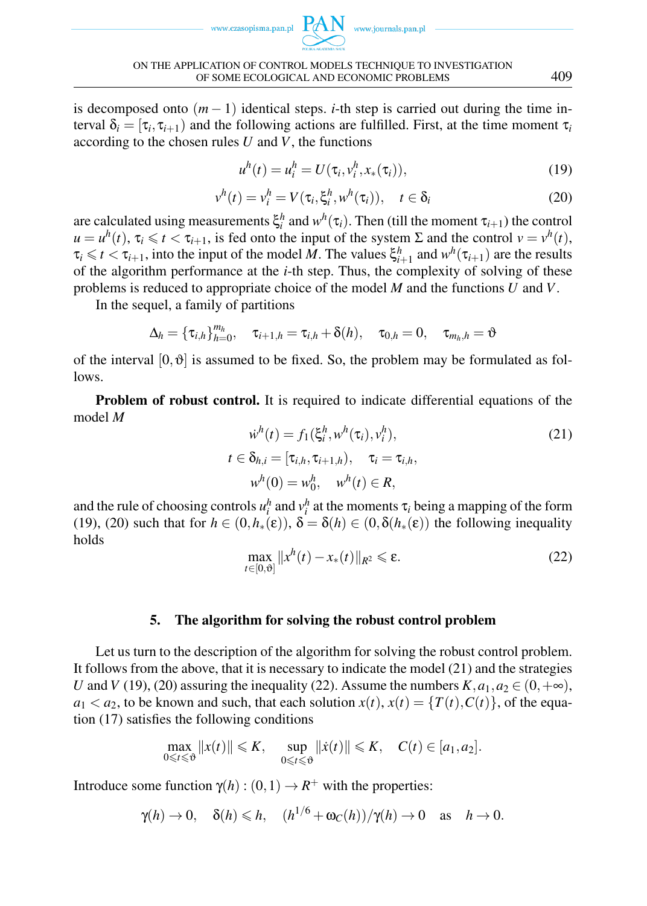www.czasopisma.pan.pl  $PA$ 



is decomposed onto  $(m-1)$  identical steps. *i*-th step is carried out during the time interval  $\delta_i = [\tau_i, \tau_{i+1})$  and the following actions are fulfilled. First, at the time moment  $\tau_i$ according to the chosen rules *U* and *V*, the functions

$$
u^{h}(t) = u_{i}^{h} = U(\tau_{i}, v_{i}^{h}, x_{*}(\tau_{i})),
$$
\n(19)

$$
v^{h}(t) = v_{i}^{h} = V(\tau_{i}, \xi_{i}^{h}, w^{h}(\tau_{i})), \quad t \in \delta_{i}
$$
\n(20)

are calculated using measurements  $\xi_i^h$  and  $w^h(\tau_i)$ . Then (till the moment  $\tau_{i+1}$ ) the control  $u = u^h(t)$ ,  $\tau_i \le t < \tau_{i+1}$ , is fed onto the input of the system  $\Sigma$  and the control  $v = v^h(t)$ ,  $\tau_i \leq t < \tau_{i+1}$ , into the input of the model *M*. The values  $\xi_{i+1}^h$  and  $w^h(\tau_{i+1})$  are the results of the algorithm performance at the *i*-th step. Thus, the complexity of solving of these problems is reduced to appropriate choice of the model *M* and the functions *U* and *V*.

In the sequel, a family of partitions

$$
\Delta_h = \{\tau_{i,h}\}_{h=0}^{m_h}, \quad \tau_{i+1,h} = \tau_{i,h} + \delta(h), \quad \tau_{0,h} = 0, \quad \tau_{m_h,h} = \vartheta
$$

of the interval  $[0, \vartheta]$  is assumed to be fixed. So, the problem may be formulated as follows.

Problem of robust control. It is required to indicate differential equations of the model *M*

$$
\dot{w}^h(t) = f_1(\xi_i^h, w^h(\tau_i), v_i^h),
$$
  
\n
$$
t \in \delta_{h,i} = [\tau_{i,h}, \tau_{i+1,h}), \quad \tau_i = \tau_{i,h},
$$
  
\n
$$
w^h(0) = w_0^h, \quad w^h(t) \in R,
$$
\n(21)

and the rule of choosing controls  $u_i^h$  and  $v_i^h$  at the moments  $\tau_i$  being a mapping of the form (19), (20) such that for  $h \in (0, h_*(\varepsilon))$ ,  $\delta = \delta(h) \in (0, \delta(h_*(\varepsilon)))$  the following inequality holds

$$
\max_{t \in [0,\vartheta]} \|x^h(t) - x_*(t)\|_{R^2} \leq \varepsilon.
$$
 (22)

### 5. The algorithm for solving the robust control problem

Let us turn to the description of the algorithm for solving the robust control problem. It follows from the above, that it is necessary to indicate the model (21) and the strategies *U* and *V* (19), (20) assuring the inequality (22). Assume the numbers  $K$ ,  $a_1$ ,  $a_2 \in (0, +\infty)$ ,  $a_1 < a_2$ , to be known and such, that each solution  $x(t)$ ,  $x(t) = {T(t), C(t)}$ , of the equation (17) satisfies the following conditions

$$
\max_{0\leq t\leq \vartheta}||x(t)||\leq K, \quad \sup_{0\leq t\leq \vartheta}||\dot{x}(t)||\leq K, \quad C(t)\in [a_1,a_2].
$$

Introduce some function  $\gamma(h) : (0,1) \to R^+$  with the properties:

$$
\gamma(h) \to 0
$$
,  $\delta(h) \leq h$ ,  $(h^{1/6} + \omega_C(h))/\gamma(h) \to 0$  as  $h \to 0$ .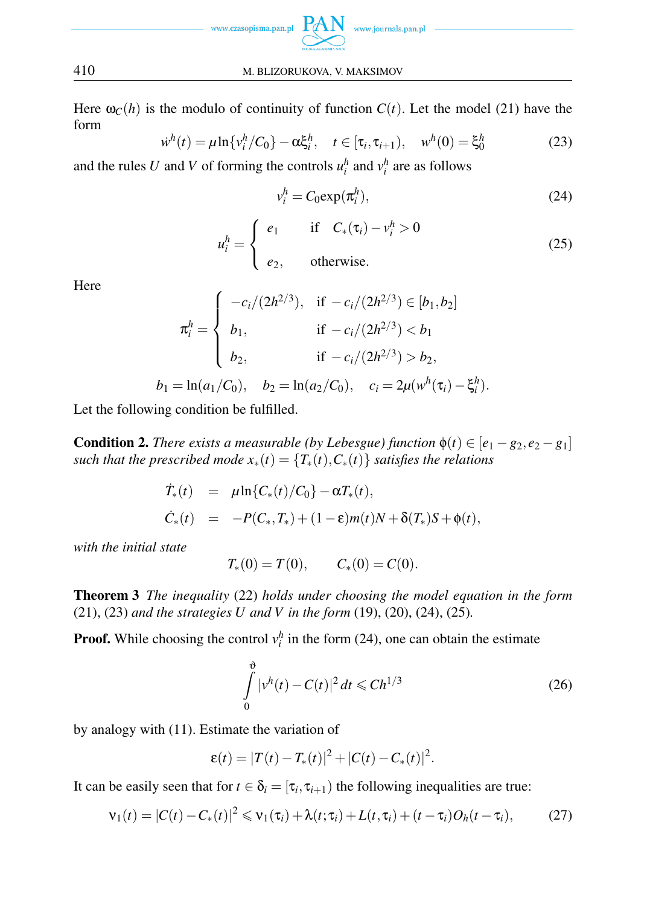

Here  $\omega_C(h)$  is the modulo of continuity of function  $C(t)$ . Let the model (21) have the form

$$
\dot{w}^h(t) = \mu \ln \{v_i^h / C_0\} - \alpha \xi_i^h, \quad t \in [\tau_i, \tau_{i+1}), \quad w^h(0) = \xi_0^h \tag{23}
$$

and the rules *U* and *V* of forming the controls  $u_i^h$  and  $v_i^h$  are as follows

$$
v_i^h = C_0 \exp(\pi_i^h),\tag{24}
$$

$$
u_i^h = \begin{cases} e_1 & \text{if } C_*(\tau_i) - v_i^h > 0 \\ e_2, & \text{otherwise.} \end{cases}
$$
 (25)

Here

$$
\pi_i^h = \begin{cases}\n-c_i/(2h^{2/3}), & \text{if } -c_i/(2h^{2/3}) \in [b_1, b_2] \\
b_1, & \text{if } -c_i/(2h^{2/3}) < b_1 \\
b_2, & \text{if } -c_i/(2h^{2/3}) > b_2, \\
b_1 = \ln(a_1/C_0), & b_2 = \ln(a_2/C_0), & c_i = 2\mu(w^h(\tau_i) - \xi_i^h).\n\end{cases}
$$

Let the following condition be fulfilled.

**Condition 2.** *There exists a measurable (by Lebesgue) function*  $\phi(t) \in [e_1 - g_2, e_2 - g_1]$ *such that the prescribed mode*  $x_*(t) = \{T_*(t), C_*(t)\}$  *satisfies the relations* 

$$
\dot{T}_*(t) = \mu \ln \{ C_*(t) / C_0 \} - \alpha T_*(t), \n\dot{C}_*(t) = -P(C_*, T_*) + (1 - \varepsilon) m(t) N + \delta(T_*) S + \phi(t),
$$

*with the initial state*

$$
T_*(0) = T(0), \qquad C_*(0) = C(0).
$$

Theorem 3 *The inequality* (22) *holds under choosing the model equation in the form* (21), (23) *and the strategies U and V in the form* (19), (20), (24), (25)*.*

**Proof.** While choosing the control  $v_i^h$  in the form (24), one can obtain the estimate

$$
\int_{0}^{\vartheta} |v^{h}(t) - C(t)|^{2} dt \leq C h^{1/3}
$$
\n(26)

by analogy with (11). Estimate the variation of

$$
\varepsilon(t) = |T(t) - T_*(t)|^2 + |C(t) - C_*(t)|^2.
$$

It can be easily seen that for  $t \in \delta_i = [\tau_i, \tau_{i+1})$  the following inequalities are true:

$$
\mathsf{v}_1(t) = |C(t) - C_*(t)|^2 \leq \mathsf{v}_1(\tau_i) + \lambda(t; \tau_i) + L(t, \tau_i) + (t - \tau_i)O_h(t - \tau_i), \tag{27}
$$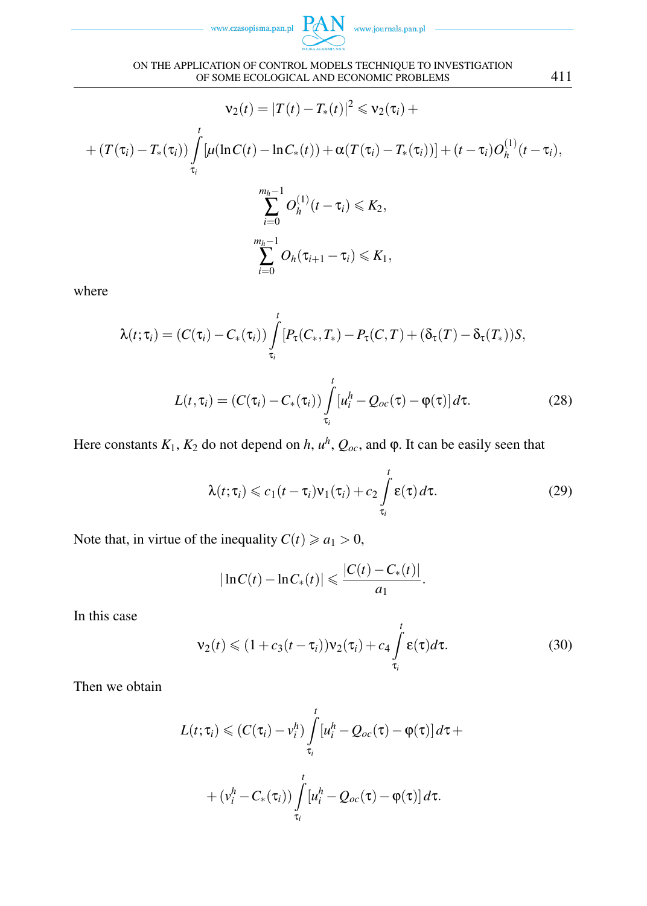www.czasopisma.pan.pl



$$
\mathsf{v}_2(t) = |T(t) - T_*(t)|^2 \leqslant \mathsf{v}_2(\tau_i) +
$$
  
+ 
$$
(T(\tau_i) - T_*(\tau_i)) \int_{\tau_i}^t \left[ \mu(\ln C(t) - \ln C_*(t)) + \alpha (T(\tau_i) - T_*(\tau_i)) \right] + (t - \tau_i) O_h^{(1)}(t - \tau_i),
$$
  

$$
\sum_{i=0}^{m_h - 1} O_h^{(1)}(t - \tau_i) \leqslant K_2,
$$
  

$$
\sum_{i=0}^{m_h - 1} O_h(\tau_{i+1} - \tau_i) \leqslant K_1,
$$

where

$$
\lambda(t;\tau_i) = (C(\tau_i) - C_*(\tau_i)) \int_{\tau_i}^t [P_\tau(C_*,T_*) - P_\tau(C,T) + (\delta_\tau(T) - \delta_\tau(T_*))S,
$$
  

$$
L(t,\tau_i) = (C(\tau_i) - C_*(\tau_i)) \int_{\tau_i}^t [u_i^h - Q_{oc}(\tau) - \varphi(\tau)] d\tau.
$$
 (28)

Here constants  $K_1$ ,  $K_2$  do not depend on *h*,  $u^h$ ,  $Q_{oc}$ , and  $\varphi$ . It can be easily seen that

$$
\lambda(t;\tau_i) \leqslant c_1(t-\tau_i)v_1(\tau_i) + c_2 \int\limits_{\tau_i}^t \varepsilon(\tau) d\tau.
$$
 (29)

Note that, in virtue of the inequality  $C(t) \ge a_1 > 0$ ,

$$
|\ln C(t) - \ln C_*(t)| \leqslant \frac{|C(t) - C_*(t)|}{a_1}.
$$

In this case

$$
\mathsf{v}_2(t) \leq (1 + c_3(t - \tau_i))\mathsf{v}_2(\tau_i) + c_4 \int_{\tau_i}^t \varepsilon(\tau) d\tau.
$$
 (30)

Then we obtain

$$
L(t; \tau_i) \leq (C(\tau_i) - v_i^h) \int_{\tau_i}^t [u_i^h - Q_{oc}(\tau) - \varphi(\tau)] d\tau +
$$
  
+  $(v_i^h - C_*(\tau_i)) \int_{\tau_i}^t [u_i^h - Q_{oc}(\tau) - \varphi(\tau)] d\tau.$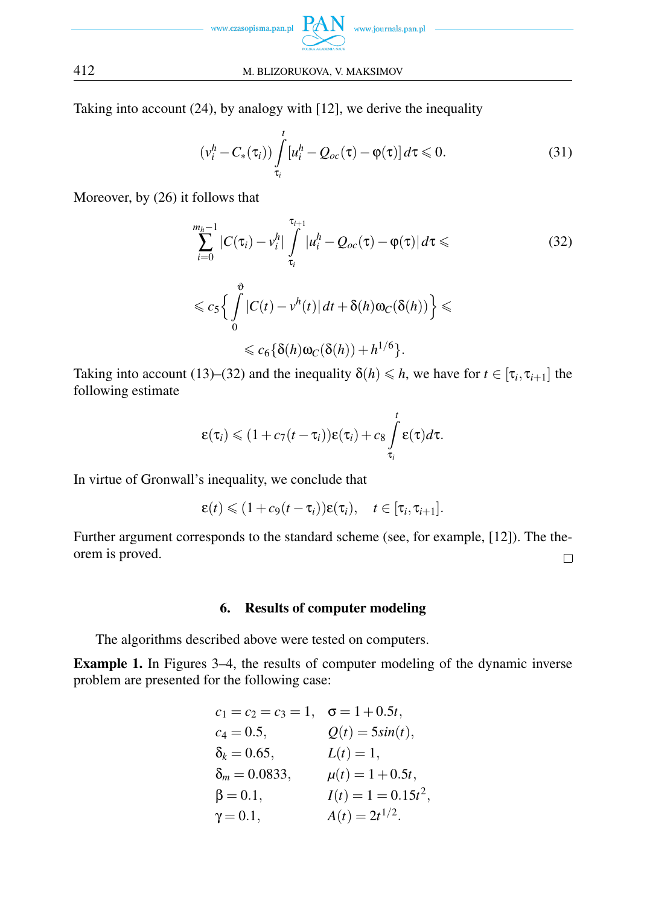

Taking into account (24), by analogy with [12], we derive the inequality

$$
\left(v_i^h - C_*(\tau_i)\right) \int_{\tau_i}^t \left[u_i^h - Q_{oc}(\tau) - \varphi(\tau)\right] d\tau \leq 0. \tag{31}
$$

Moreover, by (26) it follows that

$$
\sum_{i=0}^{m_h-1} |C(\tau_i) - v_i^h| \int_{\tau_i}^{\tau_{i+1}} |u_i^h - Q_{oc}(\tau) - \varphi(\tau)| d\tau \leq
$$
\n
$$
\leq c_5 \Big\{ \int_0^{\vartheta} |C(t) - v^h(t)| dt + \delta(h) \omega_C(\delta(h)) \Big\} \leq
$$
\n
$$
\leq c_6 \{ \delta(h) \omega_C(\delta(h)) + h^{1/6} \}.
$$
\n(32)

Taking into account (13)–(32) and the inequality  $\delta(h) \leq h$ , we have for  $t \in [\tau_i, \tau_{i+1}]$  the following estimate

$$
\varepsilon(\tau_i) \leqslant (1+c_7(t-\tau_i))\varepsilon(\tau_i)+c_8\int\limits_{\tau_i}^t \varepsilon(\tau)d\tau.
$$

In virtue of Gronwall's inequality, we conclude that

$$
\varepsilon(t) \leq (1+c_9(t-\tau_i))\varepsilon(\tau_i), \quad t \in [\tau_i, \tau_{i+1}].
$$

Further argument corresponds to the standard scheme (see, for example, [12]). The theorem is proved.  $\Box$ 

# 6. Results of computer modeling

The algorithms described above were tested on computers.

Example 1. In Figures 3–4, the results of computer modeling of the dynamic inverse problem are presented for the following case:

$$
c_1 = c_2 = c_3 = 1, \quad \sigma = 1 + 0.5t,
$$
  
\n
$$
c_4 = 0.5, \qquad Q(t) = 5\sin(t),
$$
  
\n
$$
\delta_k = 0.65, \qquad L(t) = 1,
$$
  
\n
$$
\delta_m = 0.0833, \qquad \mu(t) = 1 + 0.5t,
$$
  
\n
$$
\beta = 0.1, \qquad I(t) = 1 = 0.15t^2,
$$
  
\n
$$
\gamma = 0.1, \qquad A(t) = 2t^{1/2}.
$$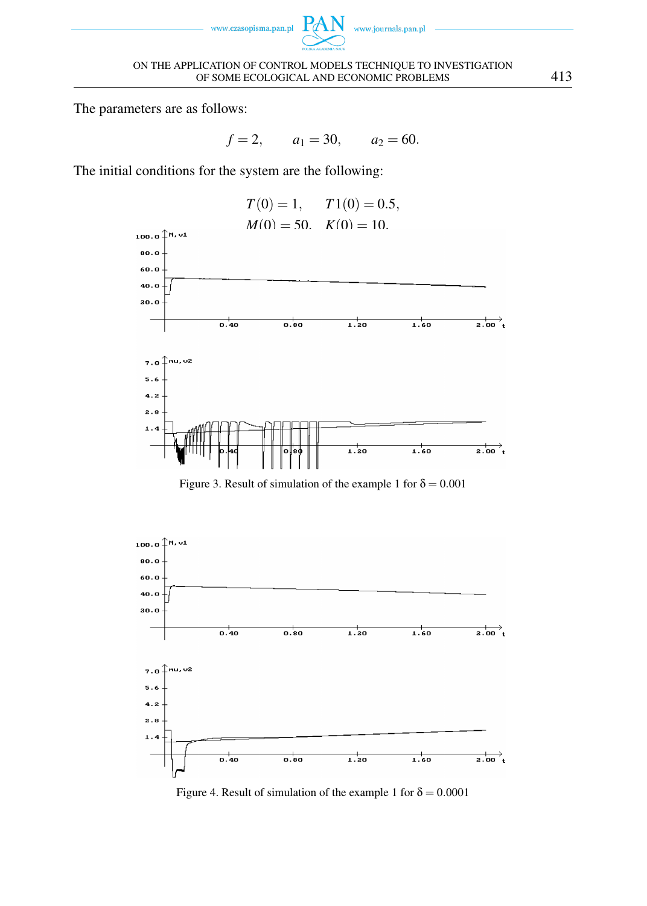



The parameters are as follows:

 $f = 2$ ,  $a_1 = 30$ ,  $a_2 = 60$ .

The initial conditions for the system are the following:



Figure 3. Result of simulation of the example 1 for  $\delta = 0.001$ 



Figure 4. Result of simulation of the example 1 for  $\delta = 0.0001$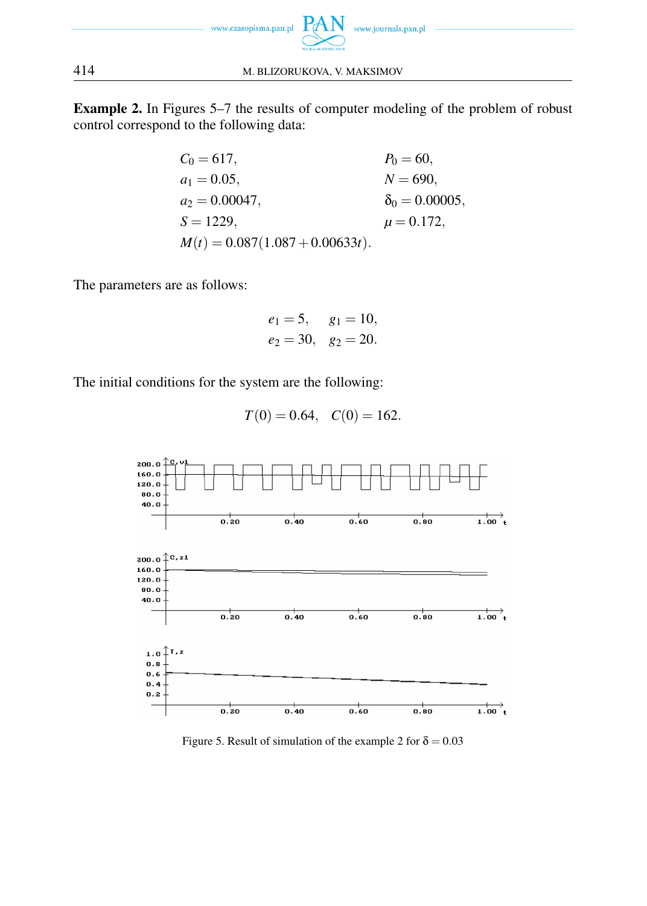

Example 2. In Figures 5–7 the results of computer modeling of the problem of robust control correspond to the following data:

| $C_0 = 617,$                      | $P_0 = 60,$            |
|-----------------------------------|------------------------|
| $a_1 = 0.05$ ,                    | $N = 690,$             |
| $a_2 = 0.00047$ ,                 | $\delta_0 = 0.00005$ , |
| $S = 1229$ ,                      | $\mu = 0.172$ ,        |
| $M(t) = 0.087(1.087 + 0.00633t).$ |                        |

The parameters are as follows:

$$
e_1 = 5
$$
,  $g_1 = 10$ ,  
 $e_2 = 30$ ,  $g_2 = 20$ .

The initial conditions for the system are the following:

$$
T(0) = 0.64
$$
,  $C(0) = 162$ .



Figure 5. Result of simulation of the example 2 for  $\delta = 0.03$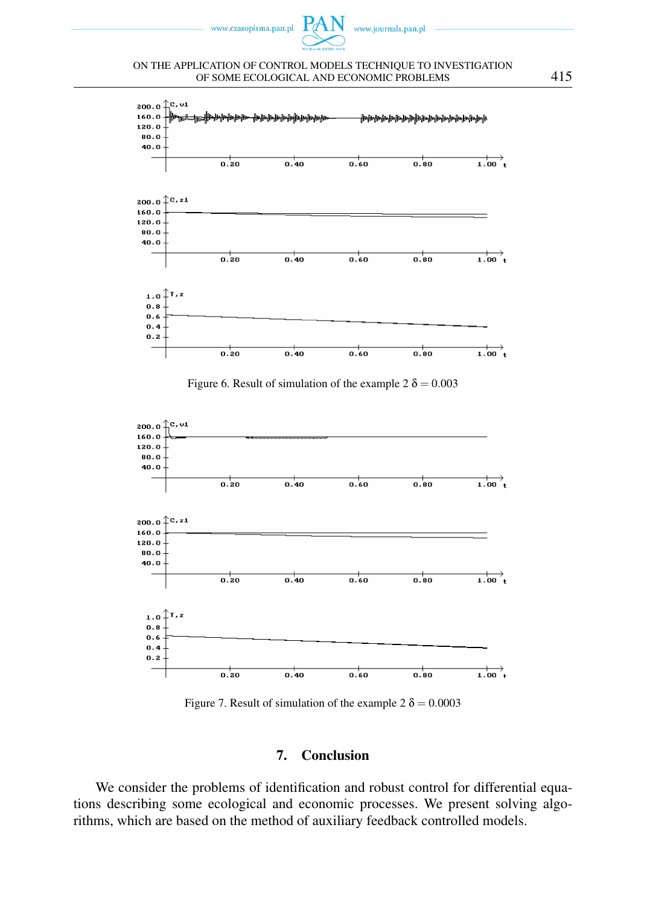

#### ON THE APPLICATION OF CONTROL MODELS TECHNIQUE TO INVESTIGATION OF SOME ECOLOGICAL AND ECONOMIC PROBLEMS 415







Figure 7. Result of simulation of the example  $2 \delta = 0.0003$ 

# 7. Conclusion

We consider the problems of identification and robust control for differential equations describing some ecological and economic processes. We present solving algorithms, which are based on the method of auxiliary feedback controlled models.